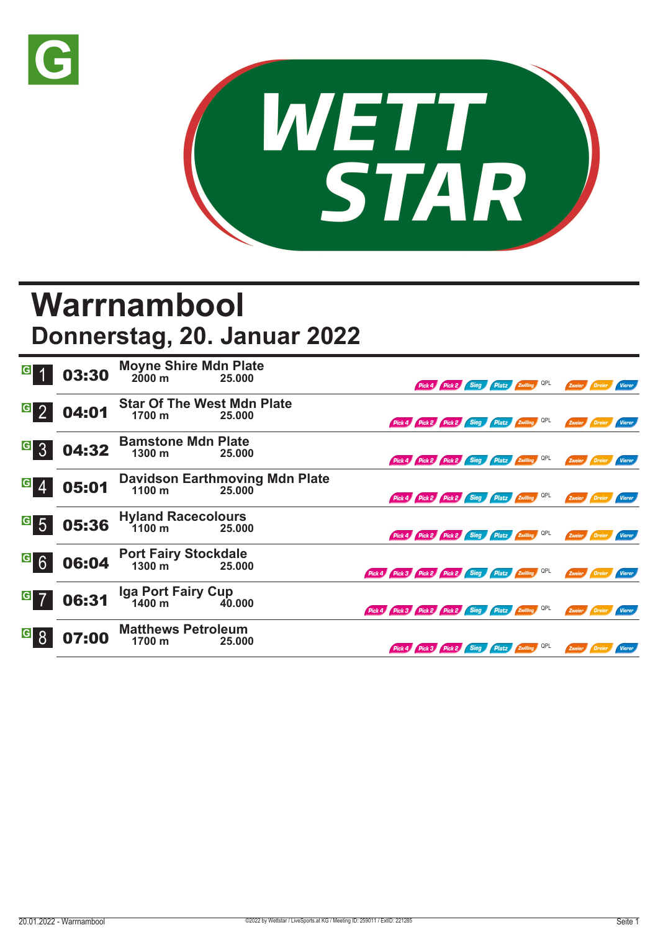



## **Warrnambool**

## **Donnerstag, 20. Januar 2022**

|                   | 03:30 | <b>Moyne Shire Mdn Plate</b><br>$2000 \text{ m}$ | 25.000                                          |                                                     | Pick 4 Pick 2 Sieg Platz Zwilling QPL |  |     | Zweier Dreier        |          | Vierer        |
|-------------------|-------|--------------------------------------------------|-------------------------------------------------|-----------------------------------------------------|---------------------------------------|--|-----|----------------------|----------|---------------|
| $\mathbf{G}$<br>2 | 04:01 | <b>Star Of The West Mdn Plate</b><br>1700 m      | 25.000                                          | Pick 4 Pick 2 Pick 2 Sieg Platz Zwilling QPL        |                                       |  |     | Zweier Dreier        |          | Vierer        |
| $G_{3}$           | 04:32 | <b>Bamstone Mdn Plate</b><br>$1300 \text{ m}$    | 25.000                                          | Pick 4 Pick 2 Pick 2 Sieg Platz Zwilling QPL        |                                       |  |     | Zweier Dreier        |          | Vierer        |
| $\vert G \vert$   | 05:01 | $1100 \text{ m}$                                 | <b>Davidson Earthmoving Mdn Plate</b><br>25.000 | Pick 4 Pick 2 Pick 2 Sieg Platz Zwilling QPL        |                                       |  |     | Zweier Dreier        |          | <b>Vierer</b> |
| $\overline{G}$ 5  | 05:36 | <b>Hyland Racecolours</b><br>$1100 \text{ m}$    | 25.000                                          | Pick 4 Pick 2 Pick 2 Sieg Platz Zwilling QPL        |                                       |  |     | Zweier Dreier        |          | Vierer        |
| <sup>G</sup> 6    | 06:04 | <b>Port Fairy Stockdale</b><br>1300 m            | 25,000                                          | Pick 4 Pick 3 Pick 2 Pick 2 Sieg Platz Zwilling QPL |                                       |  |     | Zweier <b>Dreier</b> |          | <b>Vierer</b> |
| $G$ 7             | 06:31 | Iga Port Fairy Cup<br>1400 m 40.000              |                                                 | Pick 4 Pick 3 Pick 2 Pick 2 Sieg Platz Zwilling QPL |                                       |  |     | Zweier Dreier        |          | Vierer        |
| $\vert G \vert$   | 07:00 | <b>Matthews Petroleum</b><br>1700 m              | 25.000                                          | Pick 4 Pick 3 Pick 2 Sieg Platz Zwilling            |                                       |  | QPL | Zweier               | / Dreier | <b>Vierer</b> |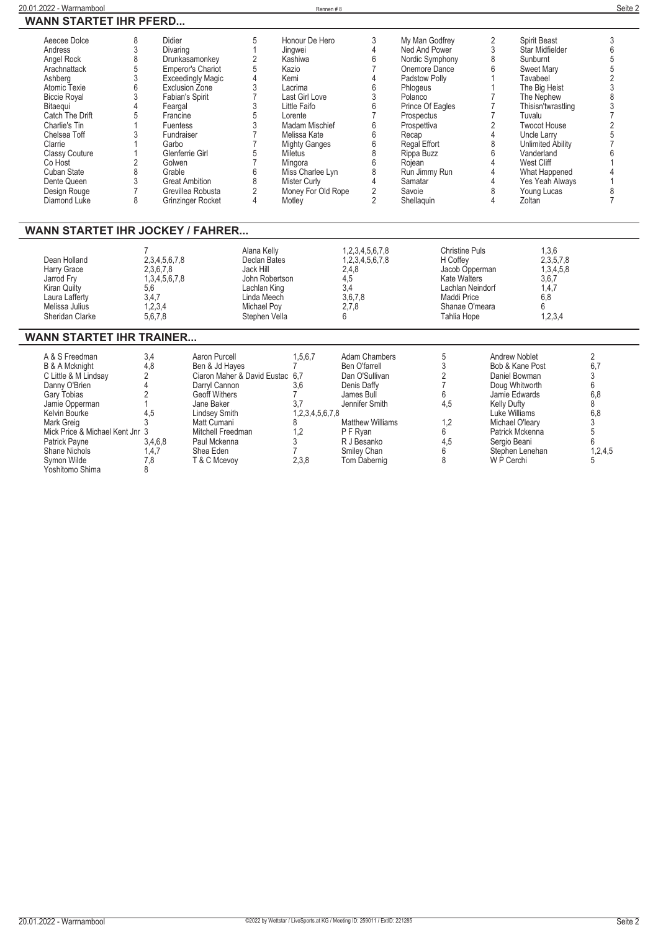| 8<br>Aeecee Dolce<br>3<br>Andress<br>8<br>Angel Rock<br>5<br>Arachnattack<br>3<br>Ashberg<br>$6\phantom{1}6$<br>Atomic Texie<br>3<br><b>Biccie Royal</b><br>Bitaegui<br>4<br>Catch The Drift<br>5<br>Charlie's Tin<br>3<br>Chelsea Toff<br>Clarrie<br><b>Classy Couture</b><br>$\overline{c}$<br>Co Host<br>8<br>Cuban State<br>$\sqrt{3}$<br>Dente Queen<br>$\overline{7}$<br>Design Rouge<br>8<br>Diamond Luke | <b>Didier</b><br>Divaring<br>Exclusion Zone<br><b>Fabian's Spirit</b><br>Feargal<br>Francine<br><b>Fuentess</b><br>Fundraiser<br>Garbo<br>Glenferrie Girl<br>Golwen<br>Grable<br><b>Great Ambition</b> | Drunkasamonkey<br><b>Emperor's Chariot</b><br><b>Exceedingly Magic</b><br>Grevillea Robusta<br>Grinzinger Rocket                                                                                                            | 5<br>$\mathbf{1}$<br>$\overline{\mathbf{c}}$<br>5<br>$\overline{4}$<br>3<br>$\overline{7}$<br>3<br>5<br>3<br>$\overline{7}$<br>$\overline{7}$<br>5<br>$\overline{7}$<br>6<br>8<br>$\overline{2}$<br>4 | Honour De Hero<br>Jingwei<br>Kashiwa<br>Kazio<br>Kemi<br>Lacrima<br>Last Girl Love<br>Little Faifo<br>Lorente<br>Madam Mischief<br>Melissa Kate<br><b>Mighty Ganges</b><br>Miletus<br>Mingora<br>Miss Charlee Lyn<br><b>Mister Curly</b><br>Money For Old Rope<br>Motley | 3<br>4<br>6<br>$\overline{7}$<br>4<br>6<br>3<br>6<br>$\overline{7}$<br>6<br>6<br>6<br>8<br>6<br>8<br>4<br>$\overline{2}$<br>$\overline{2}$                                                  | My Man Godfrey<br>Ned And Power<br>Nordic Symphony<br>Onemore Dance<br>Padstow Polly<br>Phlogeus<br>Polanco<br>Prince Of Eagles<br>Prospectus<br>Prospettiva<br>Recap<br>Regal Effort<br>Rippa Buzz<br>Rojean<br>Run Jimmy Run<br>Samatar<br>Savoie<br>Shellaquin | 2<br>3<br>8<br>6<br>1<br>$\mathbf{1}$<br>$\overline{7}$<br>$\overline{7}$<br>$\overline{7}$<br>$\overline{2}$<br>4<br>8<br>6<br>4<br>$\overline{4}$<br>4<br>8<br>4 | Spirit Beast<br>Star Midfielder<br>Sunburnt<br>Sweet Mary<br>Tavabeel<br>The Big Heist<br>The Nephew<br>Thisisn'twrastling<br>Tuvalu<br><b>Twocot House</b><br>Uncle Larry<br>Unlimited Ability<br>Vanderland<br>West Cliff<br>What Happened<br>Yes Yeah Always<br>Young Lucas<br>Zoltan | 3<br>6<br>5<br>5<br>$\frac{2}{3}$<br>8<br>3<br>7<br>$\overline{c}$<br>5<br>$\overline{7}$<br>6<br>$\overline{4}$<br>8<br>$\overline{7}$ |
|------------------------------------------------------------------------------------------------------------------------------------------------------------------------------------------------------------------------------------------------------------------------------------------------------------------------------------------------------------------------------------------------------------------|--------------------------------------------------------------------------------------------------------------------------------------------------------------------------------------------------------|-----------------------------------------------------------------------------------------------------------------------------------------------------------------------------------------------------------------------------|-------------------------------------------------------------------------------------------------------------------------------------------------------------------------------------------------------|--------------------------------------------------------------------------------------------------------------------------------------------------------------------------------------------------------------------------------------------------------------------------|---------------------------------------------------------------------------------------------------------------------------------------------------------------------------------------------|-------------------------------------------------------------------------------------------------------------------------------------------------------------------------------------------------------------------------------------------------------------------|--------------------------------------------------------------------------------------------------------------------------------------------------------------------|------------------------------------------------------------------------------------------------------------------------------------------------------------------------------------------------------------------------------------------------------------------------------------------|-----------------------------------------------------------------------------------------------------------------------------------------|
| <b>WANN STARTET IHR JOCKEY / FAHRER</b>                                                                                                                                                                                                                                                                                                                                                                          |                                                                                                                                                                                                        |                                                                                                                                                                                                                             |                                                                                                                                                                                                       |                                                                                                                                                                                                                                                                          |                                                                                                                                                                                             |                                                                                                                                                                                                                                                                   |                                                                                                                                                                    |                                                                                                                                                                                                                                                                                          |                                                                                                                                         |
| Dean Holland<br>Harry Grace<br>Jarrod Fry<br>Kiran Quilty<br>Laura Lafferty<br>Melissa Julius<br>Sheridan Clarke                                                                                                                                                                                                                                                                                                 | 2,3,4,5,6,7,8<br>2,3,6,7,8<br>1, 3, 4, 5, 6, 7, 8<br>5.6<br>3.4.7<br>1,2,3,4<br>5,6,7,8                                                                                                                |                                                                                                                                                                                                                             | Alana Kelly<br><b>Declan Bates</b><br>Jack Hill<br>John Robertson<br>Lachlan King<br>Linda Meech<br>Michael Poy<br>Stephen Vella                                                                      |                                                                                                                                                                                                                                                                          | 1,2,3,4,5,6,7,8<br>1,2,3,4,5,6,7,8<br>2,4,8<br>4,5<br>3.4<br>3.6.7.8<br>2,7,8<br>6                                                                                                          | H Coffey<br>Maddi Price<br>Tahlia Hope                                                                                                                                                                                                                            | <b>Christine Puls</b><br>Jacob Opperman<br><b>Kate Walters</b><br>Lachlan Neindorf<br>Shanae O'meara                                                               | 1,3,6<br>2, 3, 5, 7, 8<br>1,3,4,5,8<br>3,6,7<br>1.4.7<br>6.8<br>6<br>1,2,3,4                                                                                                                                                                                                             |                                                                                                                                         |
| <b>WANN STARTET IHR TRAINER</b>                                                                                                                                                                                                                                                                                                                                                                                  |                                                                                                                                                                                                        |                                                                                                                                                                                                                             |                                                                                                                                                                                                       |                                                                                                                                                                                                                                                                          |                                                                                                                                                                                             |                                                                                                                                                                                                                                                                   |                                                                                                                                                                    |                                                                                                                                                                                                                                                                                          |                                                                                                                                         |
| A & S Freedman<br><b>B &amp; A Mcknight</b><br>C Little & M Lindsay<br>Danny O'Brien<br>Gary Tobias<br>Jamie Opperman<br>Kelvin Bourke<br>Mark Greig<br>Mick Price & Michael Kent Jnr 3<br>Patrick Payne<br><b>Shane Nichols</b><br>Symon Wilde<br>Yoshitomo Shima                                                                                                                                               | 3,4<br>4,8<br>2<br>4<br>$\overline{2}$<br>4,5<br>3<br>3.4.6.8<br>1.4.7<br>7,8<br>8                                                                                                                     | Aaron Purcell<br>Ben & Jd Hayes<br>Ciaron Maher & David Eustac 6.7<br>Darryl Cannon<br>Geoff Withers<br>Jane Baker<br><b>Lindsey Smith</b><br>Matt Cumani<br>Mitchell Freedman<br>Paul Mckenna<br>Shea Eden<br>T & C Mcevoy |                                                                                                                                                                                                       | 1,5,6,7<br>$\overline{7}$<br>3,6<br>$\overline{7}$<br>3,7<br>1,2,3,4,5,6,7,8<br>8<br>1.2<br>3<br>$\overline{7}$<br>2,3,8                                                                                                                                                 | <b>Adam Chambers</b><br>Ben O'farrell<br>Dan O'Sullivan<br>Denis Daffy<br>James Bull<br>Jennifer Smith<br><b>Matthew Williams</b><br>P F Ryan<br>R J Besanko<br>Smiley Chan<br>Tom Dabernig | 5<br>3<br>2<br>$\overline{7}$<br>6<br>4.5<br>1,2<br>6<br>4,5<br>6<br>8                                                                                                                                                                                            | <b>Kelly Dufty</b><br>W P Cerchi                                                                                                                                   | <b>Andrew Noblet</b><br>Bob & Kane Post<br>Daniel Bowman<br>Doug Whitworth<br>Jamie Edwards<br>Luke Williams<br>Michael O'leary<br>Patrick Mckenna<br>Sergio Beani<br>Stephen Lenehan                                                                                                    | $\overline{2}$<br>6,7<br>3<br>6<br>6.8<br>8<br>6.8<br>3<br>5<br>6<br>1,2,4,5<br>5                                                       |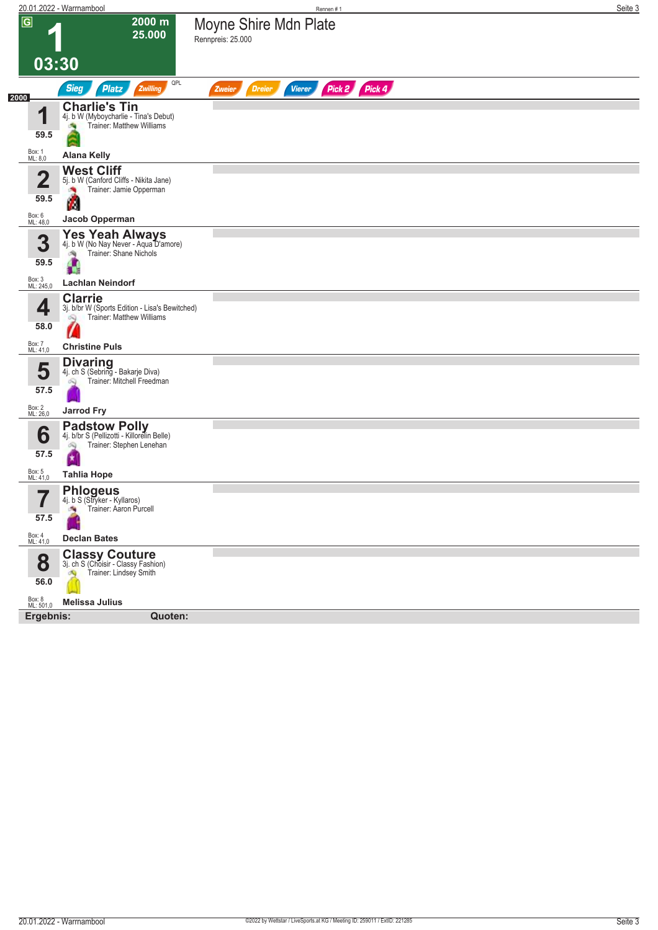|                           | 20.01.2022 - Warrnambool                                                                                   | Rennen#1                                           | Seite 3 |
|---------------------------|------------------------------------------------------------------------------------------------------------|----------------------------------------------------|---------|
| $\overline{G}$            | 2000 m<br>25.000                                                                                           | Moyne Shire Mdn Plate                              |         |
|                           |                                                                                                            | Rennpreis: 25.000                                  |         |
| 03:30                     |                                                                                                            |                                                    |         |
|                           | QPL<br><b>Sieg</b><br><b>Platz</b><br>Zwilling                                                             | Pick 2 Pick 4<br>Vierer<br><b>Dreier</b><br>Zweier |         |
| 2000                      | <b>Charlie's Tin</b>                                                                                       |                                                    |         |
| 1<br>59.5                 | 4j. b W (Myboycharlie - Tina's Debut)<br>Trainer: Matthew Williams                                         |                                                    |         |
| Box: 1<br>ML: 8,0         | <b>Alana Kelly</b>                                                                                         |                                                    |         |
|                           | <b>West Cliff</b>                                                                                          |                                                    |         |
| $\mathbf{2}$              | 5j. b W (Canford Cliffs - Nikita Jane)<br>Trainer: Jamie Opperman                                          |                                                    |         |
| 59.5                      | м                                                                                                          |                                                    |         |
| Box: 6<br>ML: 48,0        | Jacob Opperman                                                                                             |                                                    |         |
| 3                         | Yes Yeah Always<br>4j. b W (No Nay Never - Aqua D'amore)<br>Trainer: Shane Nichols<br>肉                    |                                                    |         |
| 59.5                      | A                                                                                                          |                                                    |         |
| Box: 3<br>ML: 245,0       | <b>Lachlan Neindorf</b>                                                                                    |                                                    |         |
| 4                         | <b>Clarrie</b><br>3j. b/br W (Sports Edition - Lisa's Bewitched)<br><b>Trainer: Matthew Williams</b><br>ôQ |                                                    |         |
| 58.0                      |                                                                                                            |                                                    |         |
| Box: 7<br>ML: 41,0        | <b>Christine Puls</b>                                                                                      |                                                    |         |
|                           | <b>Divaring</b>                                                                                            |                                                    |         |
| 5                         | 4j. ch S (Sebring - Bakarje Diva)<br>Trainer: Mitchell Freedman<br>Q                                       |                                                    |         |
| 57.5                      |                                                                                                            |                                                    |         |
| Box: 2<br>ML: 26,0        | <b>Jarrod Fry</b>                                                                                          |                                                    |         |
| 6                         | <b>Padstow Polly</b><br>4j. b/br S (Pellizotti - Killorelin Belle)                                         |                                                    |         |
| 57.5                      | Trainer: Stephen Lenehan<br>网                                                                              |                                                    |         |
|                           | 国                                                                                                          |                                                    |         |
| Box: 5<br>ML: <u>41,0</u> | <b>Tahlia Hope</b>                                                                                         |                                                    |         |
| 7<br>I                    | <b>Phlogeus</b><br>4j. b S (Stryker - Kyllaros)                                                            |                                                    |         |
| 57.5                      | Trainer: Aaron Purcell<br>a.                                                                               |                                                    |         |
| Box: 4<br>ML: 41,0        | <b>Declan Bates</b>                                                                                        |                                                    |         |
|                           |                                                                                                            |                                                    |         |
| 8                         | <b>Classy Couture</b><br>3j. ch S (Choisir - Classy Fashion)<br>Trainer: Lindsey Smith                     |                                                    |         |
| 56.0                      |                                                                                                            |                                                    |         |
| Box: 8<br>ML: 501,0       | <b>Melissa Julius</b>                                                                                      |                                                    |         |
| Ergebnis:                 | Quoten:                                                                                                    |                                                    |         |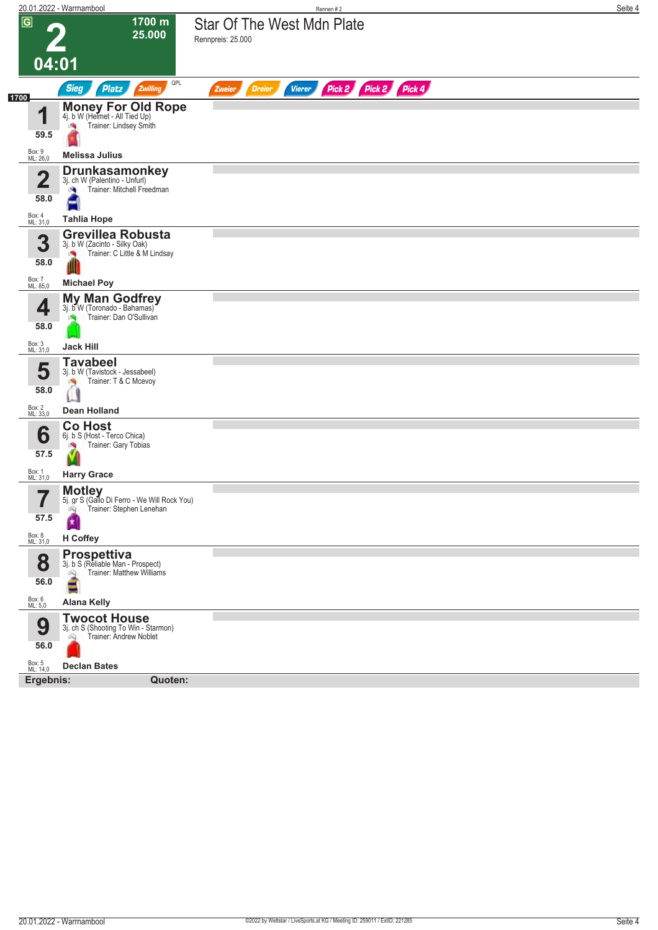|                    | 20.01.2022 - Warrnambool                                                                              | Rennen #2                                                 | Seite 4 |
|--------------------|-------------------------------------------------------------------------------------------------------|-----------------------------------------------------------|---------|
| $\sqrt{G}$         | 1700 m<br>25.000<br>04:01                                                                             | <b>Star Of The West Mdn Plate</b><br>Rennpreis: 25.000    |         |
|                    | QPL<br><b>Sieg</b><br><b>Platz</b><br>Zwilling                                                        | Pick 2 Pick 2 Pick 4<br><b>Dreier</b><br>Vierer<br>Zweier |         |
| 1700<br>4          | Money For Old Rope<br>4j. b W (Helmet - All Tied Up)<br>Trainer: Lindsey Smith                        |                                                           |         |
| 59.5               |                                                                                                       |                                                           |         |
| Box: 9<br>ML: 26,0 | <b>Melissa Julius</b>                                                                                 |                                                           |         |
| n<br>∠<br>58.0     | <b>Drunkasamonkey</b><br>3j. ch W (Palentino - Unfurl)<br>Trainer: Mitchell Freedman<br>a,            |                                                           |         |
| Box: 4<br>ML: 31,0 | <b>Tahlia Hope</b>                                                                                    |                                                           |         |
| 3<br>58.0          | <b>Grevillea Robusta</b><br>3j. b W (Zacinto - Silky Oak)<br>Trainer: C Little & M Lindsay<br>o.<br>Ш |                                                           |         |
| Box: 7<br>ML: 85,0 | <b>Michael Poy</b>                                                                                    |                                                           |         |
| 4<br>58.0          | My Man Godfrey<br>3j. b W (Toronado - Bahamas)<br>Trainer: Dan O'Sullivan                             |                                                           |         |
| Box: 3<br>ML: 31,0 | <b>Jack Hill</b>                                                                                      |                                                           |         |
| 5<br>58.0          | <b>Tavabeel</b><br>3j. b W (Tavistock - Jessabeel)<br>Trainer: T & C Mcevoy<br><b>SIL</b>             |                                                           |         |
| Box: 2<br>ML: 33,0 | <b>Dean Holland</b>                                                                                   |                                                           |         |
| 6<br>57.5          | <b>Co Host</b><br>6j. b S (Host - Terco Chica)<br>Trainer: Gary Tobias                                |                                                           |         |
| Box: 1<br>ML: 31,0 | <b>Harry Grace</b>                                                                                    |                                                           |         |
| 7<br>ı<br>57.5     | <b>Motley</b><br>5j. gr S (Gallo Di Ferro - We Will Rock You)<br>Trainer: Stephen Lenehan<br>Ŵ<br>×   |                                                           |         |
| Box: 8<br>ML: 31,0 | H Coffey                                                                                              |                                                           |         |
| 8<br>56.0          | <b>Prospettiva</b><br>3j. b S (Reliable Man - Prospect)<br>Trainer: Matthew Williams<br>$\infty$<br>E |                                                           |         |
| Box: 6<br>ML: 5,0  | <b>Alana Kelly</b>                                                                                    |                                                           |         |
| 9<br>56.0          | <b>Twocot House</b><br>3j. ch S (Shooting To Win - Starmon)<br>Trainer: Andrew Noblet                 |                                                           |         |
| Box: 5<br>ML: 14,0 | <b>Declan Bates</b>                                                                                   |                                                           |         |
| Ergebnis:          | Quoten:                                                                                               |                                                           |         |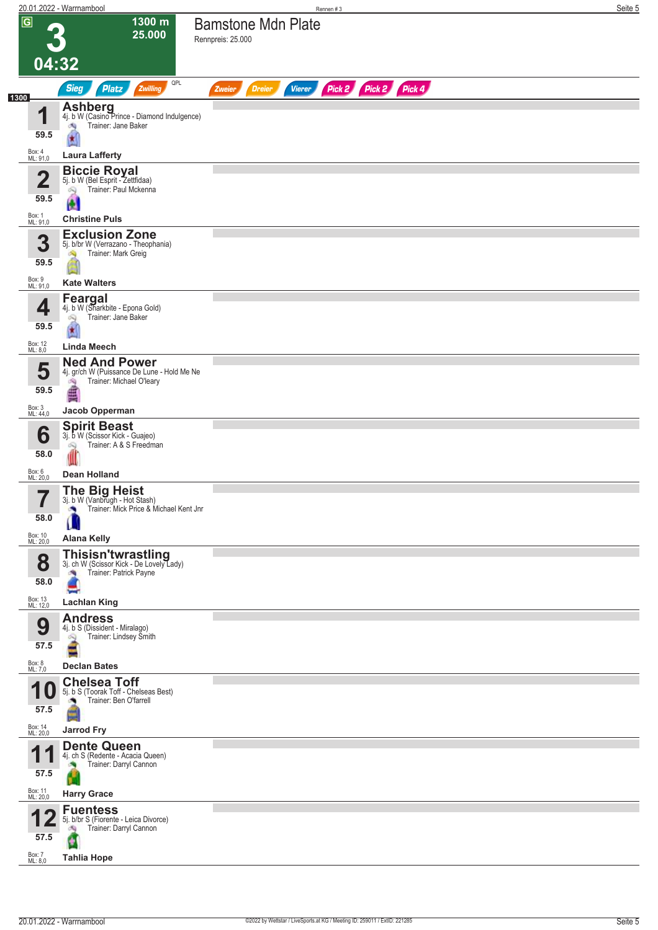|      |                        | 20.01.2022 - Warrnambool                                                                                  | Seite 5<br>Rennen#3                                              |
|------|------------------------|-----------------------------------------------------------------------------------------------------------|------------------------------------------------------------------|
|      | $\overline{G}$         | 1300 m<br>25.000                                                                                          | <b>Bamstone Mdn Plate</b><br>Rennpreis: 25.000                   |
|      | 04:32                  |                                                                                                           |                                                                  |
| 1300 |                        | QPL<br><b>Sieg</b><br>Platz<br>Zwilling                                                                   | Pick 2 Pick 2 Pick 4<br><b>Vierer</b><br><b>Dreier</b><br>Zweier |
|      | и<br>59.5              | <b>Ashberg</b><br>4j. b W (Casino Prince - Diamond Indulgence)<br>Trainer: Jane Baker<br>肉                |                                                                  |
|      | Box: 4<br>ML: 91,0     | <b>Laura Lafferty</b>                                                                                     |                                                                  |
|      | $\mathbf 2$<br>59.5    | <b>Biccie Royal</b><br>5j. b W (Bel Esprit - Zettfidaa)<br>Trainer: Paul Mckenna<br>öQ                    |                                                                  |
|      | Box: 1<br>ML: 91,0     | N<br><b>Christine Puls</b>                                                                                |                                                                  |
|      | 3<br>59.5              | <b>Exclusion Zone</b><br>5j. b/br W (Verrazano - Theophania)<br>Trainer: Mark Greig                       |                                                                  |
|      | Box: 9<br>ML: 91,0     | <b>Kate Walters</b>                                                                                       |                                                                  |
|      | 4<br>59.5              | Feargal<br>4j. b W (Sharkbite - Epona Gold)<br>Trainer: Jane Baker<br>匈<br>$\star$                        |                                                                  |
|      | Box: 12<br>ML: 8,0     | Linda Meech                                                                                               |                                                                  |
|      | 5<br>59.5              | <b>Ned And Power</b><br>4j. gr/ch W (Puissance De Lune - Hold Me Ne<br>Trainer: Michael O'leary<br>鸿<br>€ |                                                                  |
|      | Box: 3<br>ML: 44,0     | Jacob Opperman                                                                                            |                                                                  |
|      | 6<br>58.0              | <b>Spirit Beast</b><br>3j. b W (Scissor Kick - Guajeo)<br>Trainer: A & S Freedman                         |                                                                  |
|      | Box: 6<br>ML: 20,0     | <b>Dean Holland</b>                                                                                       |                                                                  |
|      | 7                      | <b>The Big Heist</b><br>3j. b W (Vanbrugh - Hot Stash)                                                    |                                                                  |
|      | $\blacksquare$<br>58.0 | Trainer: Mick Price & Michael Kent Jnr<br>$\overline{\mathbf{A}}$                                         |                                                                  |
|      | Box: 10<br>ML: 20,0    | <b>Alana Kelly</b>                                                                                        |                                                                  |
|      | 8<br>58.0              | Thisisn'twrastling<br>31. ch W (Scissor Kick - De Lovely Lady)<br>Trainer: Patrick Payne<br>阀             |                                                                  |
|      | Box: 13<br>ML: 12,0    | <b>Lachlan King</b><br><b>Andress</b>                                                                     |                                                                  |
|      | 9<br>57.5              | 4j. b S (Dissident - Miralago)<br>Trainer: Lindsey Smith                                                  |                                                                  |
|      | Box: 8<br>ML: 7,0      | <b>Declan Bates</b>                                                                                       |                                                                  |
|      | и<br><b>10</b><br>57.5 | <b>Chelsea Toff</b><br>5j. b S (Toorak Toff - Chelseas Best)<br>Trainer: Ben O'farrell<br><b>CO</b>       |                                                                  |
|      | Box: 14<br>ML: 20,0    | <b>Jarrod Fry</b><br><b>Dente Queen</b>                                                                   |                                                                  |
|      | и<br>57.5              | 4j. ch S (Redente - Acacia Queen)<br>Trainer: Darryl Cannon                                               |                                                                  |
|      | Box: 11<br>ML: 20,0    | <b>Harry Grace</b>                                                                                        |                                                                  |
|      | 57.5                   | <b>Fuentess</b><br>5j. b/br S (Fiorente - Leica Divorce)<br>Trainer: Darryl Cannon<br>ंचे                 |                                                                  |
|      | Box: 7<br>ML: 8,0      | <b>Tahlia Hope</b>                                                                                        |                                                                  |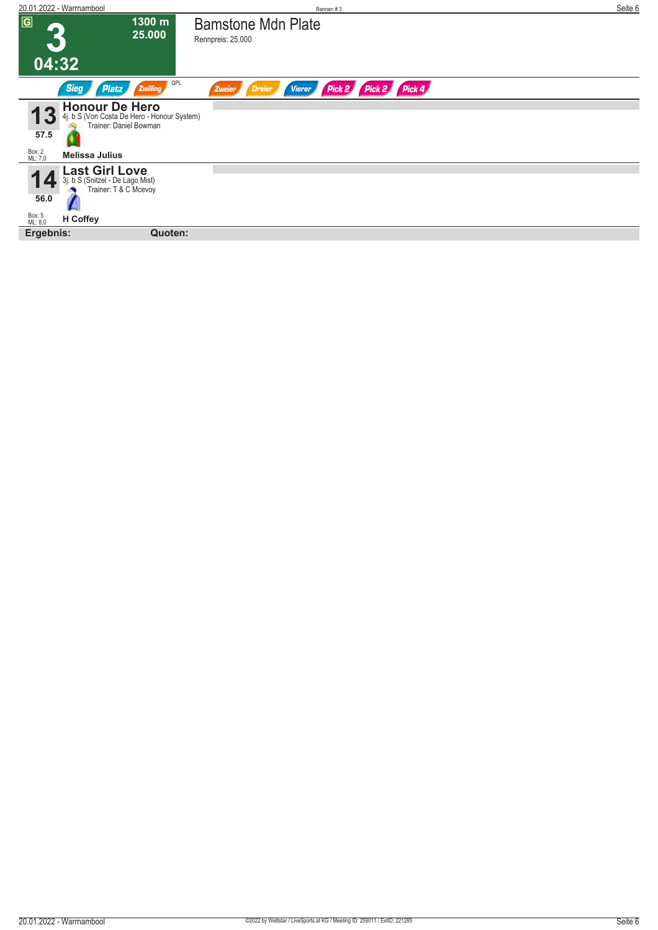| 20.01.2022 - Warrnambool                                                                                    | Rennen#3                                                                                  | Seite 6 |
|-------------------------------------------------------------------------------------------------------------|-------------------------------------------------------------------------------------------|---------|
| $\overline{G}$                                                                                              | 1300 m<br><b>Bamstone Mdn Plate</b><br>25.000<br>Rennpreis: 25.000                        |         |
| 04:32                                                                                                       |                                                                                           |         |
| <b>Sieg</b><br>Platz                                                                                        | QPL<br>Pick 4<br>Pick 2<br>Pick 2<br><b>Zwilling</b><br>Dreier<br><b>Vierer</b><br>Zweier |         |
| 4j. b S (Von Costa De Hero<br>4j. b S (Von Costa De Hero - Honour System)<br>Trainer: Daniel Bowman<br>57.5 |                                                                                           |         |
| Box: 2<br>ML: 7,0<br><b>Melissa Julius</b>                                                                  |                                                                                           |         |
| Last Girl Love<br>3j. b S (Snitzel - De Lago Mist)<br>Trainer: T & C Mcevoy<br>56.0                         |                                                                                           |         |
| Box: 5<br>ML: 8,0<br><b>H</b> Coffey                                                                        |                                                                                           |         |
| Ergebnis:                                                                                                   | Quoten:                                                                                   |         |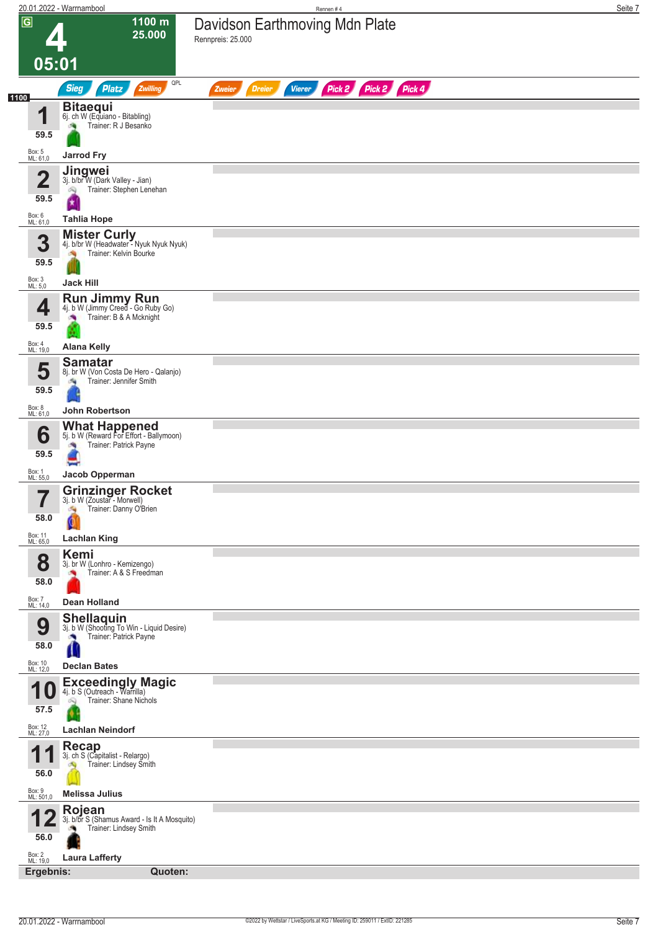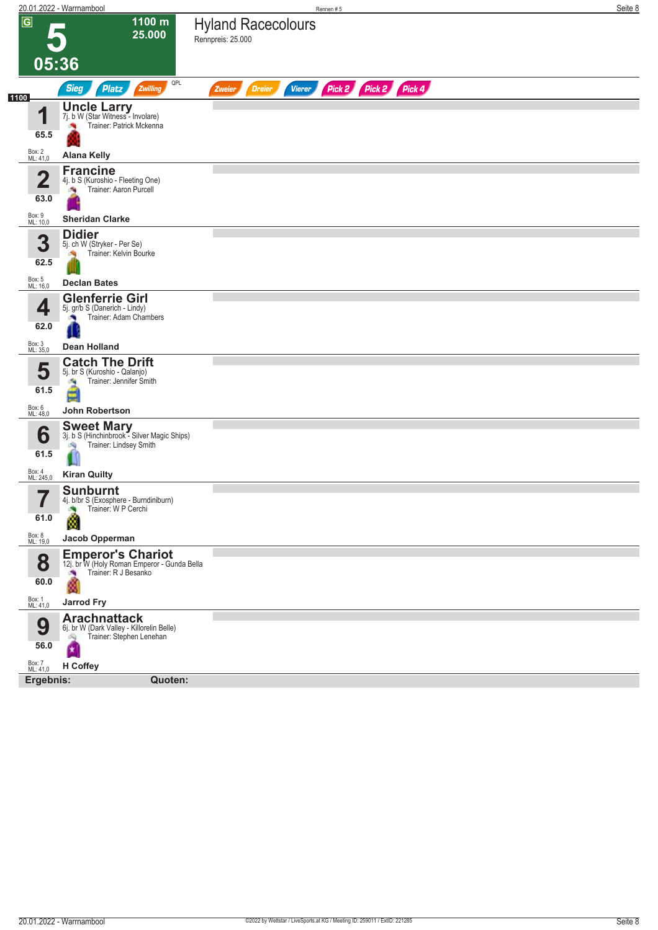|                                 | 20.01.2022 - Warrnambool                                                                                              |                                                | Rennen#5      |               |  |                      |  |  |  | Seite 8 |
|---------------------------------|-----------------------------------------------------------------------------------------------------------------------|------------------------------------------------|---------------|---------------|--|----------------------|--|--|--|---------|
| $\overline{G}$                  | 1100 m<br>25.000                                                                                                      | <b>Hyland Racecolours</b><br>Rennpreis: 25.000 |               |               |  |                      |  |  |  |         |
|                                 | 05:36                                                                                                                 |                                                |               |               |  |                      |  |  |  |         |
|                                 | QPL<br><b>Sieg</b><br><b>Platz</b><br>Zwilling                                                                        | Zweier                                         | <b>Dreier</b> | <b>Vierer</b> |  | Pick 2 Pick 2 Pick 4 |  |  |  |         |
| 1100<br>и<br>65.5               | <b>Uncle Larry</b><br>7j. b W (Star Witness - Involare)<br>Trainer: Patrick Mckenna                                   |                                                |               |               |  |                      |  |  |  |         |
| Box: 2<br>ML: 41,0              | <b>Alana Kelly</b>                                                                                                    |                                                |               |               |  |                      |  |  |  |         |
| $\overline{\mathbf{2}}$<br>63.0 | <b>Francine</b><br>4j. b S (Kuroshio - Fleeting One)<br>Trainer: Aaron Purcell                                        |                                                |               |               |  |                      |  |  |  |         |
| Box: 9<br>ML: 10,0              | <b>Sheridan Clarke</b>                                                                                                |                                                |               |               |  |                      |  |  |  |         |
| 3<br>62.5                       | <b>Didier</b><br>5j. ch W (Stryker - Per Se)<br>Trainer: Kelvin Bourke                                                |                                                |               |               |  |                      |  |  |  |         |
| Box: 5<br>ML: 16,0              | <b>Declan Bates</b>                                                                                                   |                                                |               |               |  |                      |  |  |  |         |
| 4<br>62.0                       | <b>Glenferrie Girl</b><br>5j. gr/b S (Danerich - Lindy)<br>Trainer: Adam Chambers                                     |                                                |               |               |  |                      |  |  |  |         |
| Box: 3<br>ML: 35,0              | <b>Dean Holland</b>                                                                                                   |                                                |               |               |  |                      |  |  |  |         |
| 5<br>61.5<br>Box: 6<br>ML: 48,0 | <b>Catch The Drift</b><br>5j. br S (Kuroshio - Qalanjo)<br>Trainer: Jennifer Smith<br>淘<br>⊌<br><b>John Robertson</b> |                                                |               |               |  |                      |  |  |  |         |
|                                 |                                                                                                                       |                                                |               |               |  |                      |  |  |  |         |
| 6<br>61.5                       | <b>Sweet Mary</b><br>3j. b S (Hinchinbrook - Silver Magic Ships)<br>Trainer: Lindsey Smith<br>鸿                       |                                                |               |               |  |                      |  |  |  |         |
| Box: 4<br>ML: 245,0             | <b>Kiran Quilty</b>                                                                                                   |                                                |               |               |  |                      |  |  |  |         |
| 7<br>ı<br>61.0                  | <b>Sunburnt</b><br>4j. b/br S (Exosphere - Burndiniburn)<br>Trainer: W P Cerchi<br>Ø                                  |                                                |               |               |  |                      |  |  |  |         |
| Box: 8<br>ML: 19,0              | Jacob Opperman                                                                                                        |                                                |               |               |  |                      |  |  |  |         |
| 8<br>60.0                       | <b>Emperor's Chariot</b><br>12j. br W (Holy Roman Emperor - Gunda Bella<br>Trainer: R J Besanko<br>ø                  |                                                |               |               |  |                      |  |  |  |         |
| Box: 1<br>ML: 41,0              | <b>Jarrod Fry</b>                                                                                                     |                                                |               |               |  |                      |  |  |  |         |
| 9<br>56.0                       | <b>Arachnattack</b><br>6j. br W (Dark Valley - Killorelin Belle)<br>Trainer: Stephen Lenehan<br>Ŵ                     |                                                |               |               |  |                      |  |  |  |         |
| Box: 7<br>ML: 41,0              | H Coffey                                                                                                              |                                                |               |               |  |                      |  |  |  |         |
| Ergebnis:                       | Quoten:                                                                                                               |                                                |               |               |  |                      |  |  |  |         |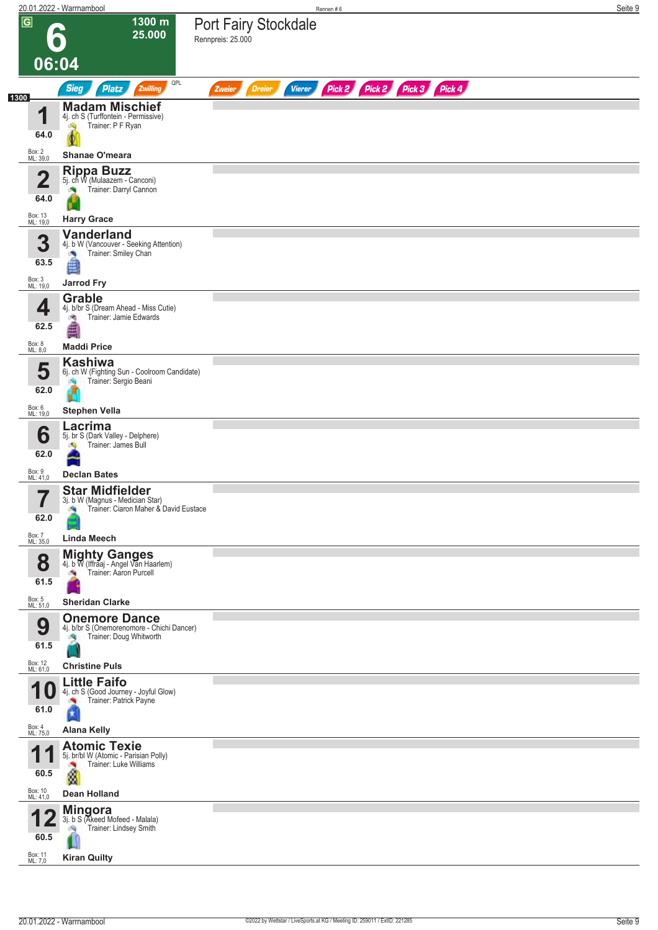|      |                                      | 20.01.2022 - Warrnambool                                                                                          | Rennen#6                                                                | Seite 9 |
|------|--------------------------------------|-------------------------------------------------------------------------------------------------------------------|-------------------------------------------------------------------------|---------|
|      | $\overline{G}$<br>06:04              | 1300 m<br>25.000                                                                                                  | <b>Port Fairy Stockdale</b><br>Rennpreis: 25.000                        |         |
|      |                                      | QPL                                                                                                               |                                                                         |         |
| 1300 |                                      | <b>Sieg</b><br><b>Platz</b><br>Zwilling                                                                           | Pick 2 Pick 2 Pick 3 Pick 4<br><b>Dreier</b><br><b>Vierer</b><br>Zweier |         |
|      | И<br>64.0                            | <b>Madam Mischief</b><br>4j. ch S (Turffontein - Permissive)<br>Trainer: P F Ryan<br>$\infty$                     |                                                                         |         |
|      | Box: 2<br>ML: 39,0                   | Shanae O'meara                                                                                                    |                                                                         |         |
|      | $\mathbf 2$<br>64.0                  | Rippa Buzz<br>5j. ch W (Mulaazem - Canconi)<br>Trainer: Darryl Cannon                                             |                                                                         |         |
|      | Box: 13<br>ML: 19,0                  | <b>Harry Grace</b>                                                                                                |                                                                         |         |
|      | 3<br>63.5                            | <b>Vanderland</b><br>4j. b W (Vancouver - Seeking Attention)<br>Trainer: Smiley Chan<br>A<br>é                    |                                                                         |         |
|      | Box: 3<br>ML: 19,0                   | <b>Jarrod Fry</b>                                                                                                 |                                                                         |         |
|      | 4<br>62.5                            | <b>Grable</b><br>4j. b/br S (Dream Ahead - Miss Cutie)<br>Trainer: Jamie Edwards<br>阀                             |                                                                         |         |
|      | Box: 8<br>ML: 8,0                    | <b>Maddi Price</b>                                                                                                |                                                                         |         |
|      | 5<br>62.0                            | <b>Kashiwa</b><br>6j. ch W (Fighting Sun - Coolroom Candidate)<br>Trainer: Sergio Beani                           |                                                                         |         |
|      | Box: 6<br>ML: 19,0                   | <b>Stephen Vella</b>                                                                                              |                                                                         |         |
|      | 6<br>62.0                            | Lacrima<br>5j. br S (Dark Valley - Delphere)<br>Trainer: James Bull                                               |                                                                         |         |
|      | Box: 9                               |                                                                                                                   |                                                                         |         |
|      | ML: 41,0                             | <b>Declan Bates</b>                                                                                               |                                                                         |         |
|      | 62.0                                 | <b>Star Midfielder</b><br>3j. b W (Magnus - Medician Star)<br>Trainer: Ciaron Maher & David Eustace               |                                                                         |         |
|      | Box: 7<br>ML: 35,0                   | <b>Linda Meech</b>                                                                                                |                                                                         |         |
|      | 8<br>61.5                            | <b>Mighty Ganges</b><br>4j. b W (Iffraaj - Angel Van Haarlem)<br>Trainer: Aaron Purcell                           |                                                                         |         |
|      | Box: 5<br>ML: 51,0                   | <b>Sheridan Clarke</b>                                                                                            |                                                                         |         |
|      | 9<br>61.5                            | <b>Onemore Dance</b><br>4j. b/br S (Onemorenomore - Chichi Dancer)<br>Trainer: Doug Whitworth<br>đ.               |                                                                         |         |
|      | Box: 12<br>ML: 61,0                  | <b>Christine Puls</b>                                                                                             |                                                                         |         |
|      | и<br>U<br>61.0<br>Box: 4<br>ML: 75,0 | <b>Little Faifo</b><br>4j. ch S (Good Journey - Joyful Glow)<br>Trainer: Patrick Payne<br>×<br><b>Alana Kelly</b> |                                                                         |         |
|      | 1<br>60.5                            | <b>Atomic Texie</b><br>5j. br/bl W (Atomic - Parisian Polly)<br>Trainer: Luke Williams<br>ø                       |                                                                         |         |
|      | Box: 10<br>ML: 41,0                  | <b>Dean Holland</b>                                                                                               |                                                                         |         |
|      | 60.5<br>Box: 11<br>ML: 7,0           | <b>Mingora</b><br>3j. b S (Akeed Mofeed - Malala)<br>Trainer: Lindsey Smith<br><b>Kiran Quilty</b>                |                                                                         |         |
|      |                                      |                                                                                                                   |                                                                         |         |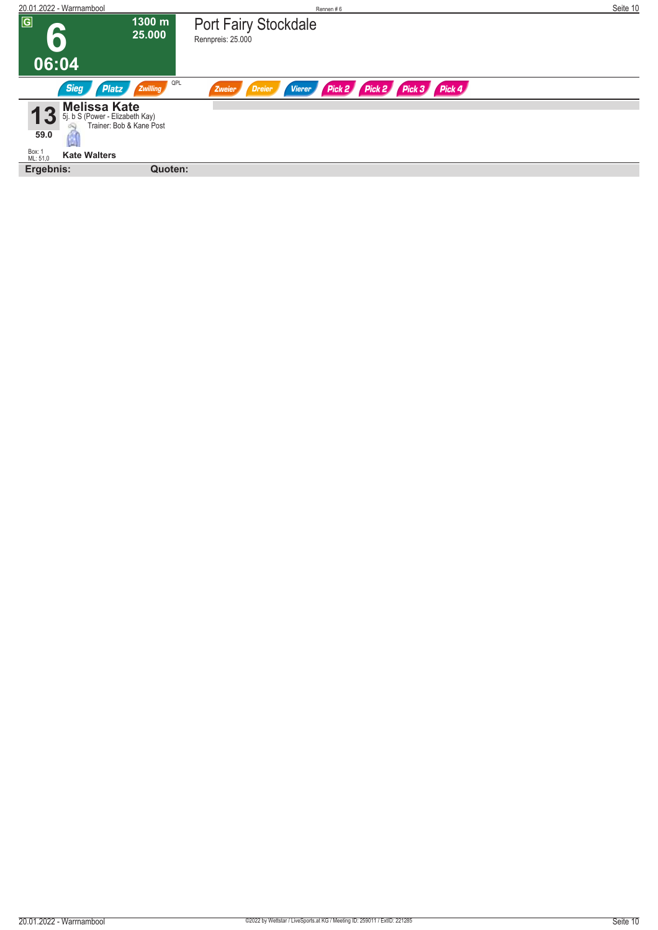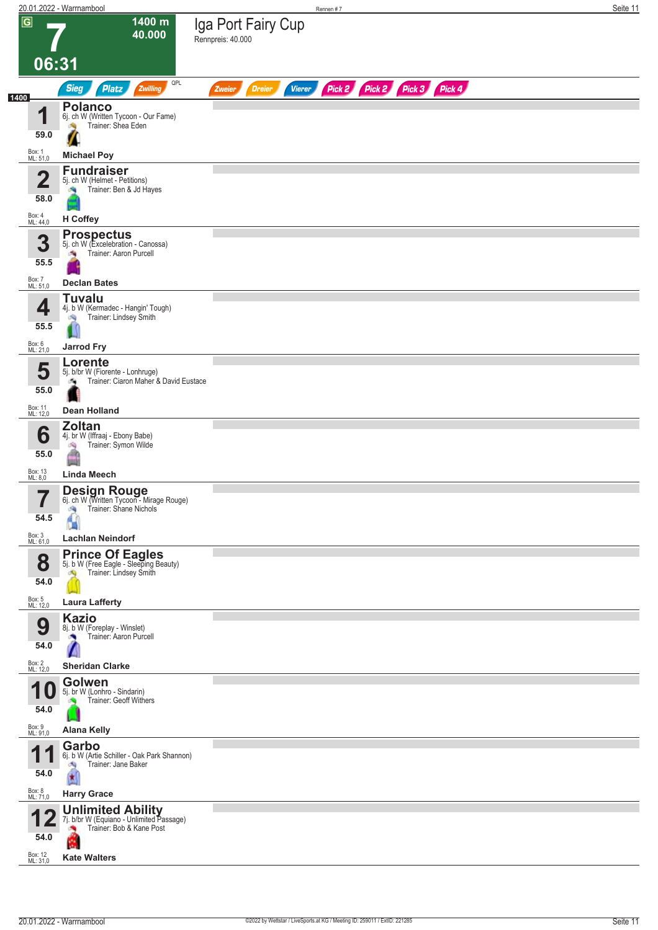|      |                                 | 20.01.2022 - Warrnambool                                                                                                    | Rennen #7                                                               | Seite 11 |
|------|---------------------------------|-----------------------------------------------------------------------------------------------------------------------------|-------------------------------------------------------------------------|----------|
|      | $\overline{G}$<br>06:31         | 1400 m<br>40.000                                                                                                            | Iga Port Fairy Cup<br>Rennpreis: 40.000                                 |          |
|      |                                 | QPL<br><b>Sieg</b><br><b>Platz</b><br>Zwilling                                                                              | Pick 2 Pick 2 Pick 3 Pick 4<br><b>Dreier</b><br><b>Vierer</b><br>Zweier |          |
| 1400 |                                 |                                                                                                                             |                                                                         |          |
|      | 4<br>59.0<br>Box: 1             | <b>Polanco</b><br>6j. ch W (Written Tycoon - Our Fame)<br>Trainer: Shea Eden<br><b>Sep</b><br>Z                             |                                                                         |          |
|      | ML: 51,0                        | <b>Michael Poy</b><br><b>Fundraiser</b>                                                                                     |                                                                         |          |
|      | $\overline{\mathbf{2}}$<br>58.0 | 5j. ch W (Helmet - Petitions)<br>Trainer: Ben & Jd Hayes                                                                    |                                                                         |          |
|      | Box: 4<br>ML: 44,0              | H Coffey                                                                                                                    |                                                                         |          |
|      | 3<br>55.5<br>Box: 7<br>ML: 51,0 | <b>Prospectus</b><br>5j. ch W (Excelebration - Canossa)<br>Trainer: Aaron Purcell<br><b>Declan Bates</b>                    |                                                                         |          |
|      |                                 | <b>Tuvalu</b>                                                                                                               |                                                                         |          |
|      | 4<br>55.5                       | 4j. b W (Kermadec - Hangin' Tough)<br>Trainer: Lindsey Smith<br><b>CN</b>                                                   |                                                                         |          |
|      | Box: 6<br>ML: 21,0              | <b>Jarrod Fry</b>                                                                                                           |                                                                         |          |
|      | 5<br>55.0                       | Lorente<br>5j. b/br W (Fiorente - Lonhruge)<br>Trainer: Ciaron Maher & David Eustace<br>ιQ.                                 |                                                                         |          |
|      | Box: 11<br>ML: 12,0             | <b>Dean Holland</b>                                                                                                         |                                                                         |          |
|      | 6<br>55.0                       | <b>Zoltan</b><br>4j. br W (Iffraaj - Ebony Babe)<br>Trainer: Symon Wilde<br>鸿<br>лh                                         |                                                                         |          |
|      | Box: 13                         | <b>Linda Meech</b>                                                                                                          |                                                                         |          |
|      | ML: 8,0<br>—<br>ı<br>54.5       | <b>Design Rouge</b><br>6j. ch W (Written Tycoon - Mirage Rouge)<br>Trainer: Shane Nichols<br>ंचे                            |                                                                         |          |
|      | Box: 3<br>ML: 61,0              | <b>Lachlan Neindorf</b>                                                                                                     |                                                                         |          |
|      | 8<br>54.0<br>Box: 5<br>ML: 12,0 | <b>Prince Of Eagles</b><br>5j. b W (Free Eagle - Sleeping Beauty)<br>Trainer: Lindsey Smith<br>ंचे<br><b>Laura Lafferty</b> |                                                                         |          |
|      |                                 | <b>Kazio</b>                                                                                                                |                                                                         |          |
|      | 9<br>54.0                       | 8j. b W (Foreplay - Winslet)<br>Trainer: Aaron Purcell                                                                      |                                                                         |          |
|      | Box: 2<br>ML: 12,0              | <b>Sheridan Clarke</b>                                                                                                      |                                                                         |          |
|      | 1<br>U<br>54.0                  | Golwen<br>5j. br W (Lonhro - Sindarin)<br>Trainer: Geoff Withers                                                            |                                                                         |          |
|      | Box: 9<br>ML: 91,0              | <b>Alana Kelly</b>                                                                                                          |                                                                         |          |
|      | 1<br>54.0                       | Garbo<br>6j. b W (Artie Schiller - Oak Park Shannon)<br>Trainer: Jane Baker<br>肉                                            |                                                                         |          |
|      | Box: 8<br>ML: 71,0              | <b>Harry Grace</b>                                                                                                          |                                                                         |          |
|      | 54.0                            | <b>Unlimited Ability</b><br>7j. b/br W (Equiano - Unlimited Passage)<br>Trainer: Bob & Kane Post<br><b>Kate Walters</b>     |                                                                         |          |
|      | Box: 12<br>ML: 31,0             |                                                                                                                             |                                                                         |          |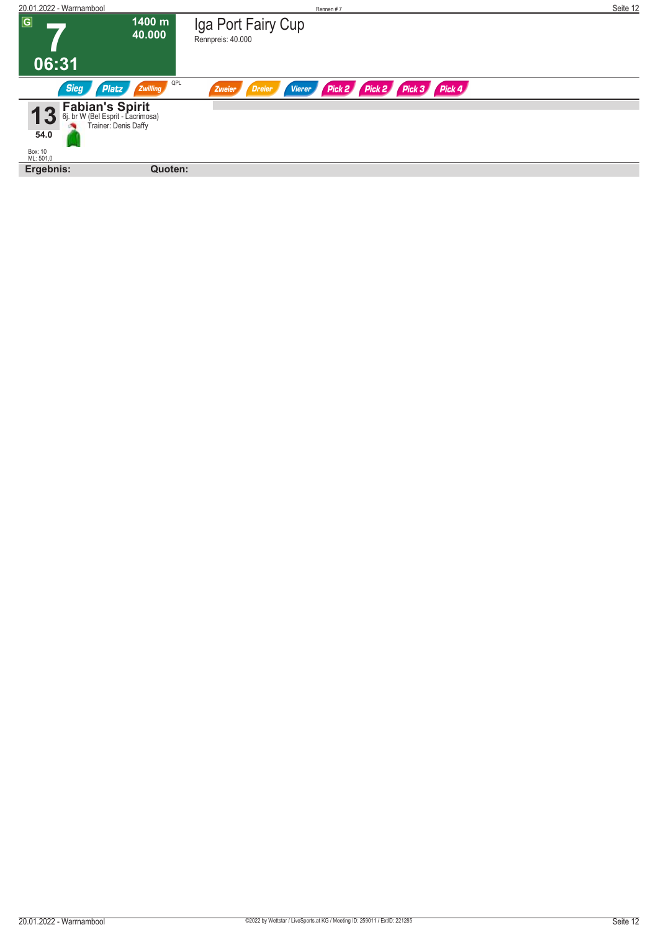